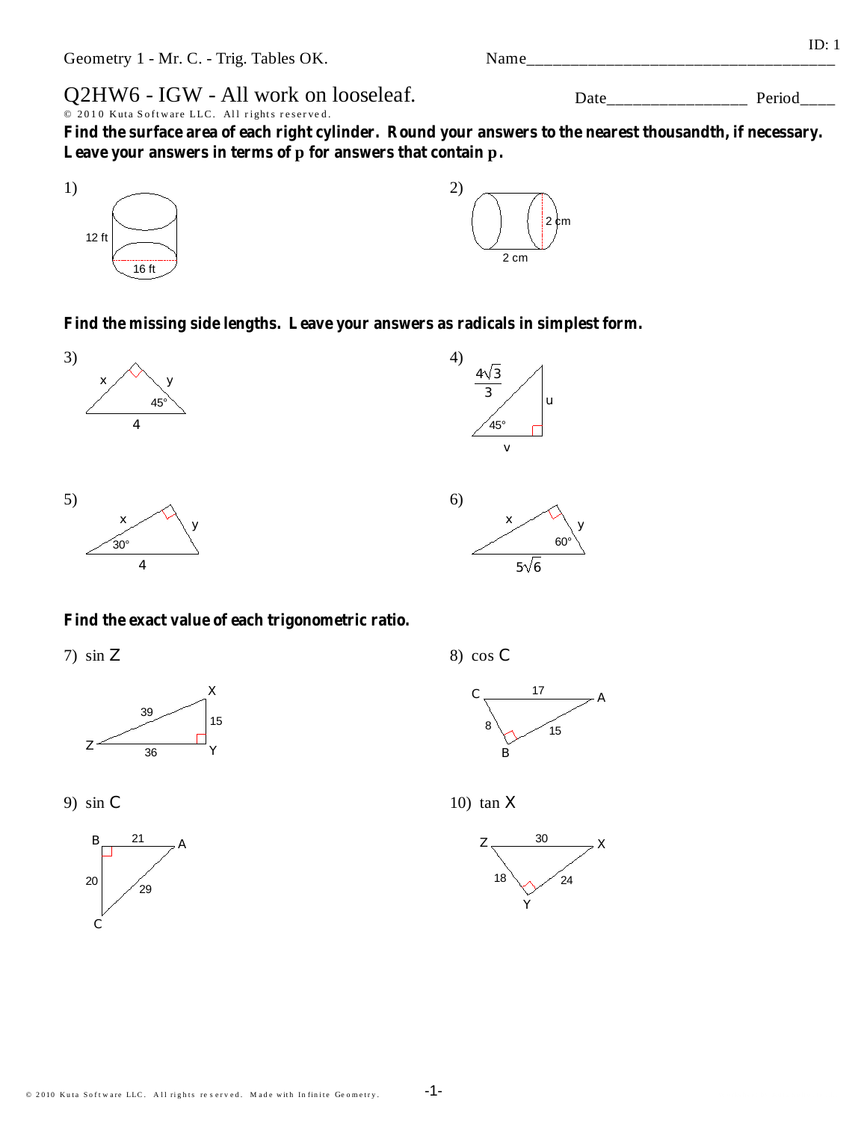Find the missing side lengths. Leave your answers as radicals in simplest form.



## Find the exact value of each trigonometric ratio.

 $7)$  sin Z

39 15  $\overline{z}$  $\overline{36}$ 





© 2010 Kuta Software LLC. All rights reserved. Made with Infinite Geometry.



 $6)$ 



 $5\sqrt{6}$ 

60<sup>°</sup>

10)  $\tan X$ 



 $4)$ 









Name

Find the surface area of each right cylinder. Round your answers to the nearest thousandth, if necessary.

16 ft

1)

 $12$  ft

© 2010 Kuta Software LLC. All rights reserved.

Q2HW6 - IGW - All work on looseleaf.

Leave your answers in terms of p for answers that contain p.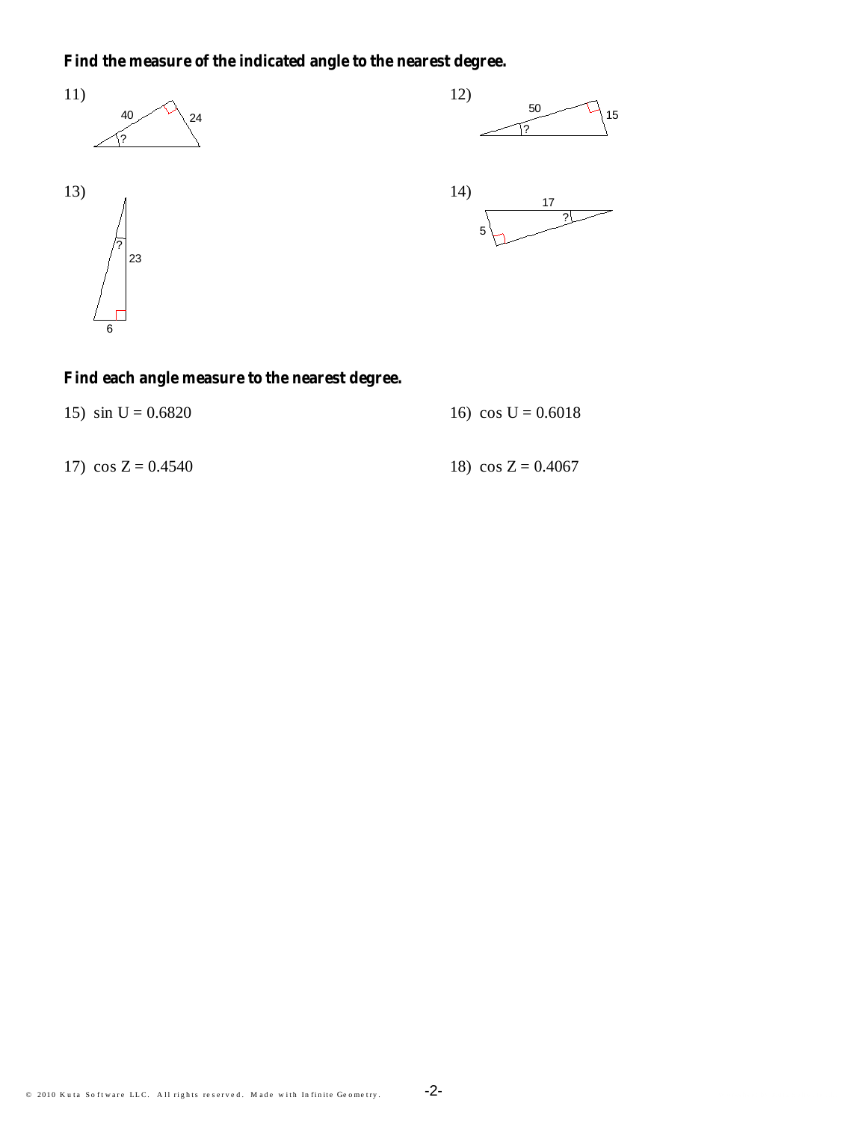## Find the measure of the indicated angle to the nearest degree.









## Find each angle measure to the nearest degree.

|  |  |  | 15) $\sin U = 0.6820$ |
|--|--|--|-----------------------|
|--|--|--|-----------------------|

16)  $\cos U = 0.6018$ 

17)  $\cos Z = 0.4540$ 

18)  $\cos Z = 0.4067$